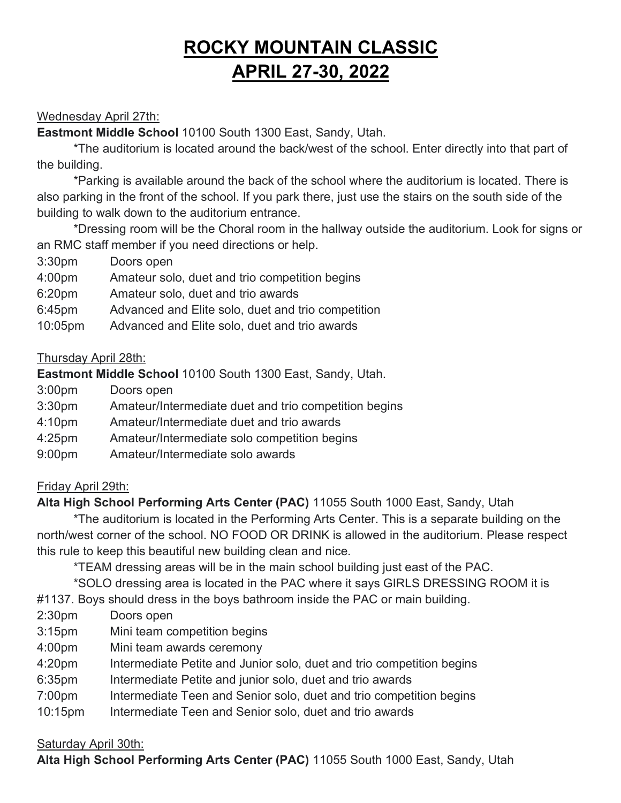# **ROCKY MOUNTAIN CLASSIC APRIL 27-30, 2022**

## Wednesday April 27th:

**Eastmont Middle School** 10100 South 1300 East, Sandy, Utah.

\*The auditorium is located around the back/west of the school. Enter directly into that part of the building.

\*Parking is available around the back of the school where the auditorium is located. There is also parking in the front of the school. If you park there, just use the stairs on the south side of the building to walk down to the auditorium entrance.

\*Dressing room will be the Choral room in the hallway outside the auditorium. Look for signs or an RMC staff member if you need directions or help.

3:30pm Doors open

| 4:00pm | Amateur solo, duet and trio competition begins |  |  |  |
|--------|------------------------------------------------|--|--|--|
|--------|------------------------------------------------|--|--|--|

- 6:20pm Amateur solo, duet and trio awards
- 6:45pm Advanced and Elite solo, duet and trio competition
- 10:05pm Advanced and Elite solo, duet and trio awards

## Thursday April 28th:

# **Eastmont Middle School** 10100 South 1300 East, Sandy, Utah.

- 3:00pm Doors open
- 3:30pm Amateur/Intermediate duet and trio competition begins
- 4:10pm Amateur/Intermediate duet and trio awards
- 4:25pm Amateur/Intermediate solo competition begins
- 9:00pm Amateur/Intermediate solo awards

## Friday April 29th:

**Alta High School Performing Arts Center (PAC)** 11055 South 1000 East, Sandy, Utah

\*The auditorium is located in the Performing Arts Center. This is a separate building on the north/west corner of the school. NO FOOD OR DRINK is allowed in the auditorium. Please respect this rule to keep this beautiful new building clean and nice.

\*TEAM dressing areas will be in the main school building just east of the PAC.

\*SOLO dressing area is located in the PAC where it says GIRLS DRESSING ROOM it is

#1137. Boys should dress in the boys bathroom inside the PAC or main building.

- 2:30pm Doors open
- 3:15pm Mini team competition begins
- 4:00pm Mini team awards ceremony
- 4:20pm Intermediate Petite and Junior solo, duet and trio competition begins
- 6:35pm Intermediate Petite and junior solo, duet and trio awards
- 7:00pm Intermediate Teen and Senior solo, duet and trio competition begins
- 10:15pm Intermediate Teen and Senior solo, duet and trio awards

#### Saturday April 30th:

**Alta High School Performing Arts Center (PAC)** 11055 South 1000 East, Sandy, Utah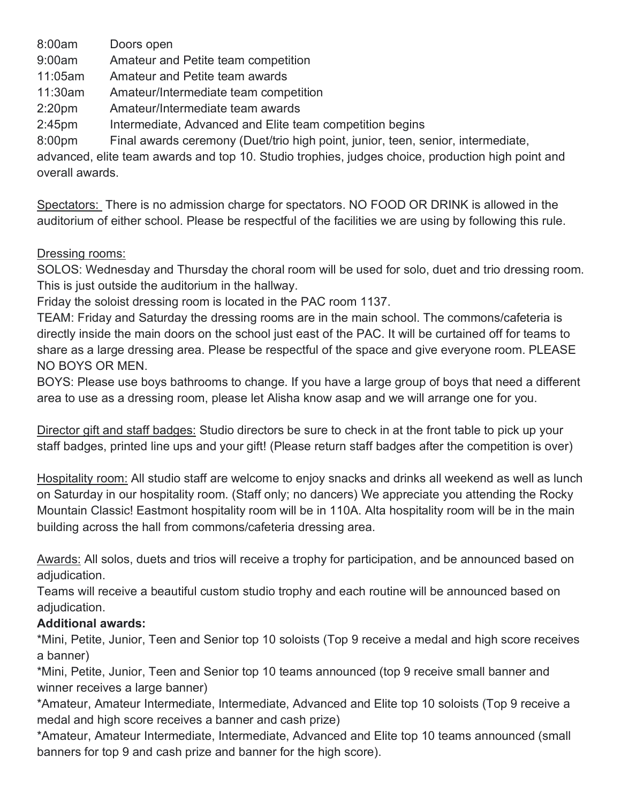8:00am Doors open

9:00am Amateur and Petite team competition

11:05am Amateur and Petite team awards

11:30am Amateur/Intermediate team competition

2:20pm Amateur/Intermediate team awards

2:45pm Intermediate, Advanced and Elite team competition begins

8:00pm Final awards ceremony (Duet/trio high point, junior, teen, senior, intermediate,

advanced, elite team awards and top 10. Studio trophies, judges choice, production high point and overall awards.

Spectators: There is no admission charge for spectators. NO FOOD OR DRINK is allowed in the auditorium of either school. Please be respectful of the facilities we are using by following this rule.

#### Dressing rooms:

SOLOS: Wednesday and Thursday the choral room will be used for solo, duet and trio dressing room. This is just outside the auditorium in the hallway.

Friday the soloist dressing room is located in the PAC room 1137.

TEAM: Friday and Saturday the dressing rooms are in the main school. The commons/cafeteria is directly inside the main doors on the school just east of the PAC. It will be curtained off for teams to share as a large dressing area. Please be respectful of the space and give everyone room. PLEASE NO BOYS OR MEN.

BOYS: Please use boys bathrooms to change. If you have a large group of boys that need a different area to use as a dressing room, please let Alisha know asap and we will arrange one for you.

Director gift and staff badges: Studio directors be sure to check in at the front table to pick up your staff badges, printed line ups and your gift! (Please return staff badges after the competition is over)

Hospitality room: All studio staff are welcome to enjoy snacks and drinks all weekend as well as lunch on Saturday in our hospitality room. (Staff only; no dancers) We appreciate you attending the Rocky Mountain Classic! Eastmont hospitality room will be in 110A. Alta hospitality room will be in the main building across the hall from commons/cafeteria dressing area.

Awards: All solos, duets and trios will receive a trophy for participation, and be announced based on adiudication.

Teams will receive a beautiful custom studio trophy and each routine will be announced based on adiudication.

## **Additional awards:**

\*Mini, Petite, Junior, Teen and Senior top 10 soloists (Top 9 receive a medal and high score receives a banner)

\*Mini, Petite, Junior, Teen and Senior top 10 teams announced (top 9 receive small banner and winner receives a large banner)

\*Amateur, Amateur Intermediate, Intermediate, Advanced and Elite top 10 soloists (Top 9 receive a medal and high score receives a banner and cash prize)

\*Amateur, Amateur Intermediate, Intermediate, Advanced and Elite top 10 teams announced (small banners for top 9 and cash prize and banner for the high score).